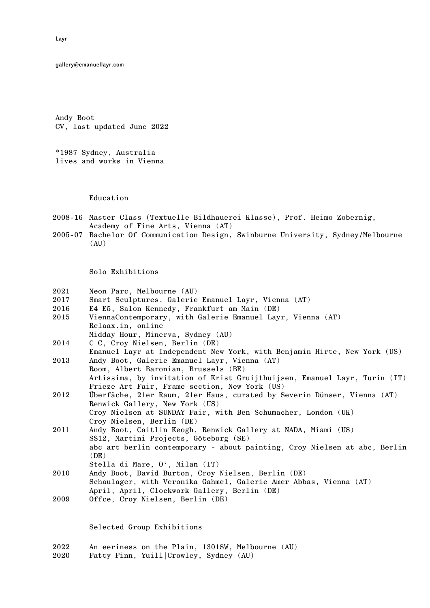gallery@emanuellayr.com

Andy Boot CV, last updated June 2022

\*1987 Sydney, Australia lives and works in Vienna

Education

- 2008-16 Master Class (Textuelle Bildhauerei Klasse), Prof. Heimo Zobernig, Academy of Fine Arts, Vienna (AT)
- 2005-07 Bachelor Of Communication Design, Swinburne University, Sydney/Melbourne  $(AU)$

Solo Exhibitions

|  | 2021 |  |  | Neon Parc, Melbourne (AU) |  |
|--|------|--|--|---------------------------|--|
|--|------|--|--|---------------------------|--|

- 2017 Smart Sculptures, Galerie Emanuel Layr, Vienna (AT)
- 2016 E4 E5, Salon Kennedy, Frankfurt am Main (DE)
- 2015 ViennaContemporary, with Galerie Emanuel Layr, Vienna (AT) Relaax.in, online
- Midday Hour, Minerva, Sydney (AU) 2014 C C, Croy Nielsen, Berlin (DE)
- Emanuel Layr at Independent New York, with Benjamin Hirte, New York (US) 2013 Andy Boot, Galerie Emanuel Layr, Vienna (AT) Room, Albert Baronian, Brussels (BE) Artissima, by invitation of Krist Gruijthuijsen, Emanuel Layr, Turin (IT)
- Frieze Art Fair, Frame section, New York (US) 2012 Überfäche, 21er Raum, 21er Haus, curated by Severin Dünser, Vienna (AT) Renwick Gallery, New York (US)

Croy Nielsen at SUNDAY Fair, with Ben Schumacher, London (UK) Croy Nielsen, Berlin (DE)

- 2011 Andy Boot, Caitlin Keogh, Renwick Gallery at NADA, Miami (US) SS12, Martini Projects, Göteborg (SE) abc art berlin contemporary - about painting, Croy Nielsen at abc, Berlin  $(DE)$ Stella di Mare, O', Milan (IT)
- 2010 Andy Boot, David Burton, Croy Nielsen, Berlin (DE) Schaulager, with Veronika Gahmel, Galerie Amer Abbas, Vienna (AT) April, April, Clockwork Gallery, Berlin (DE)
- 2009 Offce, Croy Nielsen, Berlin (DE)

Selected Group Exhibitions

- 2022 An eeriness on the Plain, 1301SW, Melbourne (AU)
- 2020 Fatty Finn, Yuill|Crowley, Sydney (AU)

Layr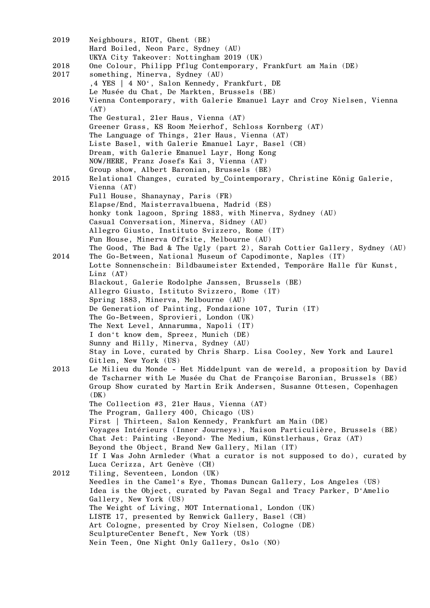| 2019 | Neighbours, RIOT, Ghent (BE)<br>Hard Boiled, Neon Parc, Sydney (AU)                                                                                  |
|------|------------------------------------------------------------------------------------------------------------------------------------------------------|
|      | UKYA City Takeover: Nottingham 2019 (UK)                                                                                                             |
| 2018 | One Colour, Philipp Pflug Contemporary, Frankfurt am Main (DE)                                                                                       |
| 2017 | something, Minerva, Sydney (AU)                                                                                                                      |
|      | ,4 YES   4 NO', Salon Kennedy, Frankfurt, DE<br>Le Musée du Chat, De Markten, Brussels (BE)                                                          |
| 2016 | Vienna Contemporary, with Galerie Emanuel Layr and Croy Nielsen, Vienna                                                                              |
|      | (AT)                                                                                                                                                 |
|      | The Gestural, 21er Haus, Vienna (AT)                                                                                                                 |
|      | Greener Grass, KS Room Meierhof, Schloss Kornberg (AT)                                                                                               |
|      | The Language of Things, 21er Haus, Vienna (AT)                                                                                                       |
|      | Liste Basel, with Galerie Emanuel Layr, Basel (CH)                                                                                                   |
|      | Dream, with Galerie Emanuel Layr, Hong Kong                                                                                                          |
|      | NOW/HERE, Franz Josefs Kai 3, Vienna (AT)                                                                                                            |
|      | Group show, Albert Baronian, Brussels (BE)                                                                                                           |
| 2015 | Relational Changes, curated by Cointemporary, Christine König Galerie,                                                                               |
|      | Vienna $(AT)$                                                                                                                                        |
|      | Full House, Shanaynay, Paris (FR)                                                                                                                    |
|      | Elapse/End, Maisterravalbuena, Madrid (ES)                                                                                                           |
|      | honky tonk lagoon, Spring 1883, with Minerva, Sydney (AU)                                                                                            |
|      | Casual Conversation, Minerva, Sidney (AU)                                                                                                            |
|      | Allegro Giusto, Instituto Svizzero, Rome (IT)<br>Fun House, Minerva Offsite, Melbourne (AU)                                                          |
|      | The Good, The Bad & The Ugly (part 2), Sarah Cottier Gallery, Sydney (AU)                                                                            |
| 2014 | The Go-Between, National Museum of Capodimonte, Naples (IT)                                                                                          |
|      | Lotte Sonnenschein: Bildbaumeister Extended, Temporäre Halle für Kunst,                                                                              |
|      | $Linz$ $(AT)$                                                                                                                                        |
|      | Blackout, Galerie Rodolphe Janssen, Brussels (BE)                                                                                                    |
|      | Allegro Giusto, Istituto Svizzero, Rome (IT)                                                                                                         |
|      | Spring 1883, Minerva, Melbourne (AU)                                                                                                                 |
|      | De Generation of Painting, Fondazione 107, Turin (IT)                                                                                                |
|      | The Go-Between, Sprovieri, London (UK)                                                                                                               |
|      | The Next Level, Annarumma, Napoli (IT)                                                                                                               |
|      | I don't know dem, Spreez, Munich (DE)                                                                                                                |
|      | Sunny and Hilly, Minerva, Sydney (AU)                                                                                                                |
|      | Stay in Love, curated by Chris Sharp. Lisa Cooley, New York and Laurel                                                                               |
| 2013 | Gitlen, New York (US)                                                                                                                                |
|      | Le Milieu du Monde - Het Middelpunt van de wereld, a proposition by David<br>de Tscharner with Le Musée du Chat de Françoise Baronian, Brussels (BE) |
|      | Group Show curated by Martin Erik Andersen, Susanne Ottesen, Copenhagen                                                                              |
|      | (DK)                                                                                                                                                 |
|      | The Collection #3, 21er Haus, Vienna (AT)                                                                                                            |
|      | The Program, Gallery 400, Chicago (US)                                                                                                               |
|      | First   Thirteen, Salon Kennedy, Frankfurt am Main (DE)                                                                                              |
|      | Voyages Intérieurs (Inner Journeys), Maison Particulière, Brussels (BE)                                                                              |
|      | Chat Jet: Painting <beyond> The Medium, Künstlerhaus, Graz (AT)</beyond>                                                                             |
|      | Beyond the Object, Brand New Gallery, Milan (IT)                                                                                                     |
|      | If I Was John Armleder (What a curator is not supposed to do), curated by                                                                            |
|      | Luca Cerizza, Art Genève (CH)                                                                                                                        |
| 2012 | Tiling, Seventeen, London (UK)                                                                                                                       |
|      | Needles in the Camel's Eye, Thomas Duncan Gallery, Los Angeles (US)                                                                                  |
|      | Idea is the Object, curated by Pavan Segal and Tracy Parker, D'Amelio                                                                                |
|      | Gallery, New York (US)<br>The Weight of Living, MOT International, London (UK)                                                                       |
|      | LISTE 17, presented by Renwick Gallery, Basel (CH)                                                                                                   |
|      | Art Cologne, presented by Croy Nielsen, Cologne (DE)                                                                                                 |
|      | SculptureCenter Beneft, New York (US)                                                                                                                |
|      | Nein Teen, One Night Only Gallery, Oslo (NO)                                                                                                         |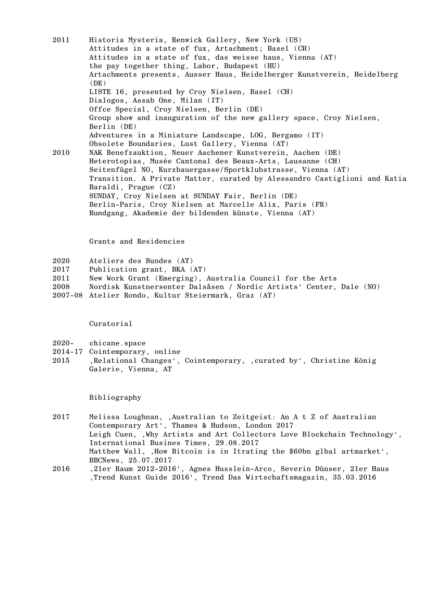2011 Historia Mysteria, Renwick Gallery, New York (US) Attitudes in a state of fux, Artachment; Basel (CH) Attitudes in a state of fux, das weisse haus, Vienna (AT) the pay together thing, Labor, Budapest (HU) Artachments presents, Ausser Haus, Heidelberger Kunstverein, Heidelberg  $(DE)$ LISTE 16, presented by Croy Nielsen, Basel (CH) Dialogos, Assab One, Milan (IT) Offce Special, Croy Nielsen, Berlin (DE) Group show and inauguration of the new gallery space, Croy Nielsen, Berlin (DE) Adventures in a Miniature Landscape, LOG, Bergamo (IT) Obsolete Boundaries, Lust Gallery, Vienna (AT) 2010 NAK Benefzauktion, Neuer Aachener Kunstverein, Aachen (DE) Heterotopias, Musée Cantonal des Beaux-Arts, Lausanne (CH) Seitenfügel NO, Kurzbauergasse/Sportklubstrasse, Vienna (AT) Transition. A Private Matter, curated by Alessandro Castiglioni and Katia Baraldi, Prague (CZ) SUNDAY, Croy Nielsen at SUNDAY Fair, Berlin (DE) Berlin-Paris, Croy Nielsen at Marcelle Alix, Paris (FR)

Grants and Residencies

- 2020 Ateliers des Bundes (AT)
- 2017 Publication grant, BKA (AT)
- 2011 New Work Grant (Emerging), Australia Council for the Arts

Rundgang, Akademie der bildenden künste, Vienna (AT)

- 2008 Nordisk Kunstnersenter Dalsåsen / Nordic Artists' Center, Dale (NO)
- 2007-08 Atelier Rondo, Kultur Steiermark, Graz (AT)

Curatorial

- 2020- chicane.space
- 2014-17 Cointemporary, online
- 2015 , Relational Changes', Cointemporary, , curated by', Christine König Galerie, Vienna, AT

Bibliography

- 2017 Melissa Loughnan, 'Australian to Zeitgeist: An A t Z of Australian Contemporary Art', Thames & Hudson, London 2017 Leigh Cuen, , Why Artists and Art Collectors Love Blockchain Technology'. International Busines Times, 29.08.2017 Matthew Wall, , How Bitcoin is in Itrating the \$60bn glbal artmarket', BBCNews, 25.07.2017
- 2016 '21er Raum 2012-2016', Agnes Husslein-Arco, Severin Dünser, 21er Haus 'Trend Kunst Guide 2016', Trend Das Wirtschaftsmagazin, 35.03.2016